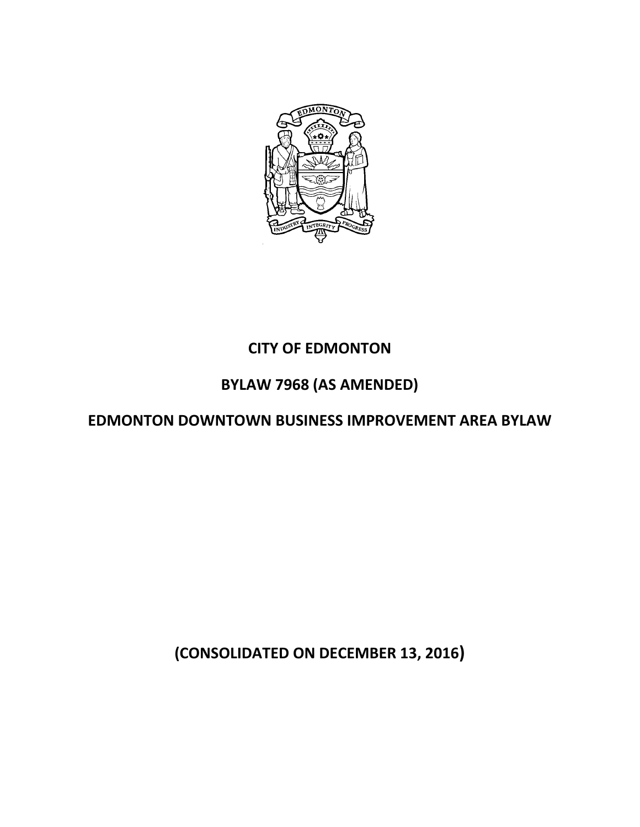

# **CITY OF EDMONTON**

# **BYLAW 7968 (AS AMENDED)**

# **EDMONTON DOWNTOWN BUSINESS IMPROVEMENT AREA BYLAW**

**(CONSOLIDATED ON DECEMBER 13, 2016)**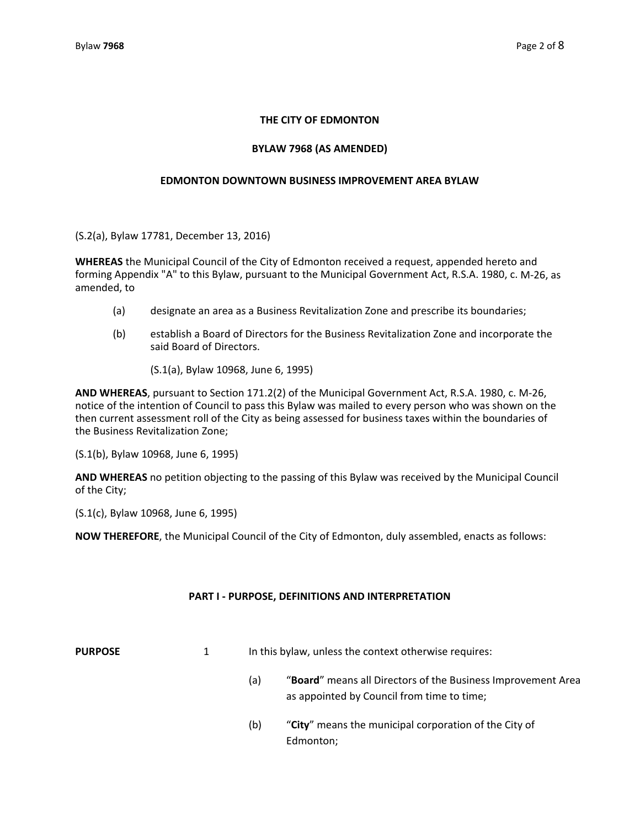## **THE CITY OF EDMONTON**

## **BYLAW 7968 (AS AMENDED)**

## **EDMONTON DOWNTOWN BUSINESS IMPROVEMENT AREA BYLAW**

(S.2(a), Bylaw 17781, December 13, 2016)

**WHEREAS** the Municipal Council of the City of Edmonton received a request, appended hereto and forming Appendix "A" to this Bylaw, pursuant to the Municipal Government Act, R.S.A. 1980, c. M‐26, as amended, to

- (a) designate an area as a Business Revitalization Zone and prescribe its boundaries;
- (b) establish a Board of Directors for the Business Revitalization Zone and incorporate the said Board of Directors.
	- (S.1(a), Bylaw 10968, June 6, 1995)

**AND WHEREAS**, pursuant to Section 171.2(2) of the Municipal Government Act, R.S.A. 1980, c. M‐26, notice of the intention of Council to pass this Bylaw was mailed to every person who was shown on the then current assessment roll of the City as being assessed for business taxes within the boundaries of the Business Revitalization Zone;

(S.1(b), Bylaw 10968, June 6, 1995)

**AND WHEREAS** no petition objecting to the passing of this Bylaw was received by the Municipal Council of the City;

(S.1(c), Bylaw 10968, June 6, 1995)

**NOW THEREFORE**, the Municipal Council of the City of Edmonton, duly assembled, enacts as follows:

### **PART I ‐ PURPOSE, DEFINITIONS AND INTERPRETATION**

- **PURPOSE** 1 In this bylaw, unless the context otherwise requires:
	- (a) "**Board**" means all Directors of the Business Improvement Area as appointed by Council from time to time;
	- (b) "**City**" means the municipal corporation of the City of Edmonton;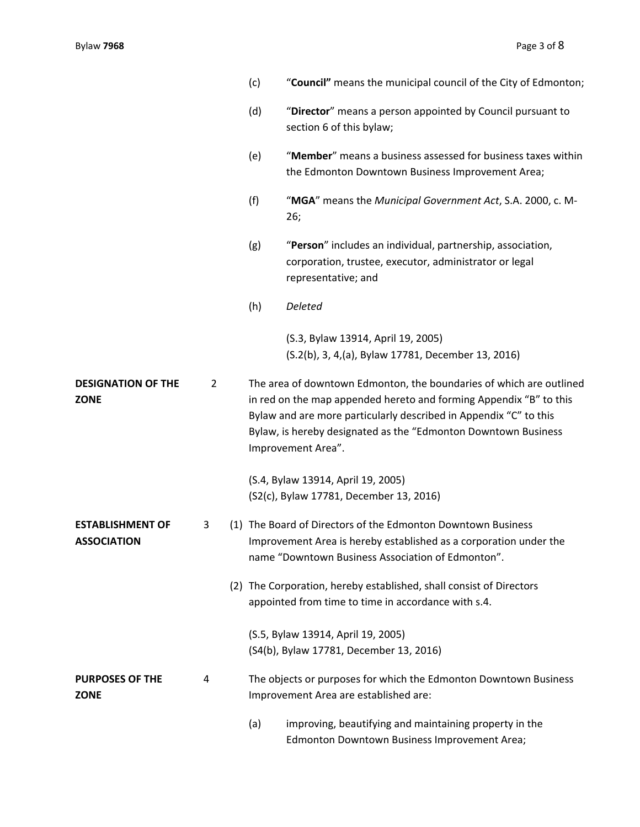|                                               |   | (c)                                                                                                                                                                                                                                                                                                    | "Council" means the municipal council of the City of Edmonton;                                                                                                                         |  |
|-----------------------------------------------|---|--------------------------------------------------------------------------------------------------------------------------------------------------------------------------------------------------------------------------------------------------------------------------------------------------------|----------------------------------------------------------------------------------------------------------------------------------------------------------------------------------------|--|
|                                               |   | (d)                                                                                                                                                                                                                                                                                                    | "Director" means a person appointed by Council pursuant to<br>section 6 of this bylaw;                                                                                                 |  |
|                                               |   | (e)                                                                                                                                                                                                                                                                                                    | "Member" means a business assessed for business taxes within<br>the Edmonton Downtown Business Improvement Area;                                                                       |  |
|                                               |   | (f)                                                                                                                                                                                                                                                                                                    | "MGA" means the Municipal Government Act, S.A. 2000, c. M-<br>26;                                                                                                                      |  |
|                                               |   | (g)                                                                                                                                                                                                                                                                                                    | "Person" includes an individual, partnership, association,<br>corporation, trustee, executor, administrator or legal<br>representative; and                                            |  |
|                                               |   | (h)                                                                                                                                                                                                                                                                                                    | Deleted                                                                                                                                                                                |  |
|                                               |   |                                                                                                                                                                                                                                                                                                        | (S.3, Bylaw 13914, April 19, 2005)<br>(S.2(b), 3, 4,(a), Bylaw 17781, December 13, 2016)                                                                                               |  |
| <b>DESIGNATION OF THE</b><br>2<br><b>ZONE</b> |   | The area of downtown Edmonton, the boundaries of which are outlined<br>in red on the map appended hereto and forming Appendix "B" to this<br>Bylaw and are more particularly described in Appendix "C" to this<br>Bylaw, is hereby designated as the "Edmonton Downtown Business<br>Improvement Area". |                                                                                                                                                                                        |  |
|                                               |   |                                                                                                                                                                                                                                                                                                        | (S.4, Bylaw 13914, April 19, 2005)<br>(S2(c), Bylaw 17781, December 13, 2016)                                                                                                          |  |
| <b>ESTABLISHMENT OF</b><br><b>ASSOCIATION</b> | 3 |                                                                                                                                                                                                                                                                                                        | (1) The Board of Directors of the Edmonton Downtown Business<br>Improvement Area is hereby established as a corporation under the<br>name "Downtown Business Association of Edmonton". |  |
|                                               |   |                                                                                                                                                                                                                                                                                                        | (2) The Corporation, hereby established, shall consist of Directors<br>appointed from time to time in accordance with s.4.                                                             |  |
|                                               |   |                                                                                                                                                                                                                                                                                                        | (S.5, Bylaw 13914, April 19, 2005)<br>(S4(b), Bylaw 17781, December 13, 2016)                                                                                                          |  |
| <b>PURPOSES OF THE</b><br><b>ZONE</b>         | 4 |                                                                                                                                                                                                                                                                                                        | The objects or purposes for which the Edmonton Downtown Business<br>Improvement Area are established are:                                                                              |  |
|                                               |   | (a)                                                                                                                                                                                                                                                                                                    | improving, beautifying and maintaining property in the<br>Edmonton Downtown Business Improvement Area;                                                                                 |  |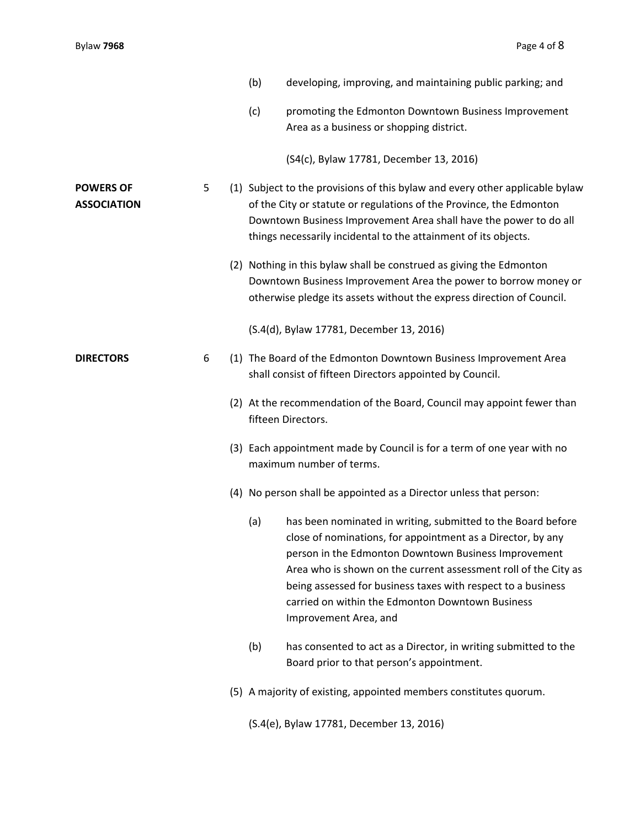|                                        |   | (b) | developing, improving, and maintaining public parking; and                                                                                                                                                                                                                                                                                                                                          |
|----------------------------------------|---|-----|-----------------------------------------------------------------------------------------------------------------------------------------------------------------------------------------------------------------------------------------------------------------------------------------------------------------------------------------------------------------------------------------------------|
|                                        |   | (c) | promoting the Edmonton Downtown Business Improvement<br>Area as a business or shopping district.                                                                                                                                                                                                                                                                                                    |
|                                        |   |     | (S4(c), Bylaw 17781, December 13, 2016)                                                                                                                                                                                                                                                                                                                                                             |
| <b>POWERS OF</b><br><b>ASSOCIATION</b> | 5 |     | (1) Subject to the provisions of this bylaw and every other applicable bylaw<br>of the City or statute or regulations of the Province, the Edmonton<br>Downtown Business Improvement Area shall have the power to do all<br>things necessarily incidental to the attainment of its objects.                                                                                                         |
|                                        |   |     | (2) Nothing in this bylaw shall be construed as giving the Edmonton<br>Downtown Business Improvement Area the power to borrow money or<br>otherwise pledge its assets without the express direction of Council.                                                                                                                                                                                     |
|                                        |   |     | (S.4(d), Bylaw 17781, December 13, 2016)                                                                                                                                                                                                                                                                                                                                                            |
| <b>DIRECTORS</b>                       | 6 |     | (1) The Board of the Edmonton Downtown Business Improvement Area<br>shall consist of fifteen Directors appointed by Council.                                                                                                                                                                                                                                                                        |
|                                        |   |     | (2) At the recommendation of the Board, Council may appoint fewer than<br>fifteen Directors.                                                                                                                                                                                                                                                                                                        |
|                                        |   |     | (3) Each appointment made by Council is for a term of one year with no<br>maximum number of terms.                                                                                                                                                                                                                                                                                                  |
|                                        |   |     | (4) No person shall be appointed as a Director unless that person:                                                                                                                                                                                                                                                                                                                                  |
|                                        |   | (a) | has been nominated in writing, submitted to the Board before<br>close of nominations, for appointment as a Director, by any<br>person in the Edmonton Downtown Business Improvement<br>Area who is shown on the current assessment roll of the City as<br>being assessed for business taxes with respect to a business<br>carried on within the Edmonton Downtown Business<br>Improvement Area, and |
|                                        |   | (b) | has consented to act as a Director, in writing submitted to the<br>Board prior to that person's appointment.                                                                                                                                                                                                                                                                                        |
|                                        |   |     | (5) A majority of existing, appointed members constitutes quorum.                                                                                                                                                                                                                                                                                                                                   |
|                                        |   |     | (S.4(e), Bylaw 17781, December 13, 2016)                                                                                                                                                                                                                                                                                                                                                            |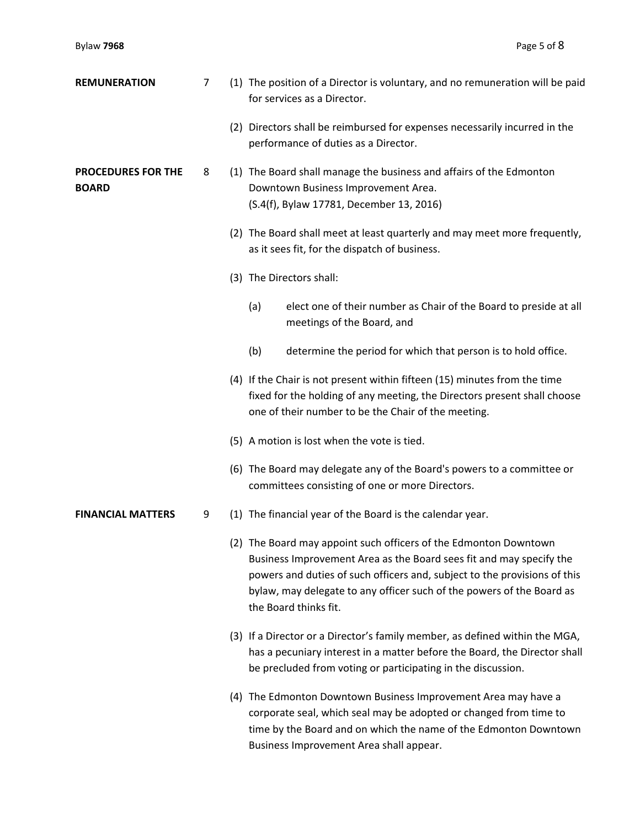| <b>REMUNERATION</b>                       | $\overline{7}$ | (1) The position of a Director is voluntary, and no remuneration will be paid<br>for services as a Director.                                                                                                                                                                                                           |
|-------------------------------------------|----------------|------------------------------------------------------------------------------------------------------------------------------------------------------------------------------------------------------------------------------------------------------------------------------------------------------------------------|
|                                           |                | (2) Directors shall be reimbursed for expenses necessarily incurred in the<br>performance of duties as a Director.                                                                                                                                                                                                     |
| <b>PROCEDURES FOR THE</b><br><b>BOARD</b> | 8              | (1) The Board shall manage the business and affairs of the Edmonton<br>Downtown Business Improvement Area.<br>(S.4(f), Bylaw 17781, December 13, 2016)                                                                                                                                                                 |
|                                           |                | (2) The Board shall meet at least quarterly and may meet more frequently,<br>as it sees fit, for the dispatch of business.                                                                                                                                                                                             |
|                                           |                | (3) The Directors shall:                                                                                                                                                                                                                                                                                               |
|                                           |                | elect one of their number as Chair of the Board to preside at all<br>(a)<br>meetings of the Board, and                                                                                                                                                                                                                 |
|                                           |                | (b)<br>determine the period for which that person is to hold office.                                                                                                                                                                                                                                                   |
|                                           |                | (4) If the Chair is not present within fifteen (15) minutes from the time<br>fixed for the holding of any meeting, the Directors present shall choose<br>one of their number to be the Chair of the meeting.                                                                                                           |
|                                           |                | (5) A motion is lost when the vote is tied.                                                                                                                                                                                                                                                                            |
|                                           |                | (6) The Board may delegate any of the Board's powers to a committee or<br>committees consisting of one or more Directors.                                                                                                                                                                                              |
| <b>FINANCIAL MATTERS</b>                  | 9              | (1) The financial year of the Board is the calendar year.                                                                                                                                                                                                                                                              |
|                                           |                | (2) The Board may appoint such officers of the Edmonton Downtown<br>Business Improvement Area as the Board sees fit and may specify the<br>powers and duties of such officers and, subject to the provisions of this<br>bylaw, may delegate to any officer such of the powers of the Board as<br>the Board thinks fit. |
|                                           |                | (3) If a Director or a Director's family member, as defined within the MGA,<br>has a pecuniary interest in a matter before the Board, the Director shall<br>be precluded from voting or participating in the discussion.                                                                                               |
|                                           |                | (4) The Edmonton Downtown Business Improvement Area may have a<br>corporate seal, which seal may be adopted or changed from time to<br>time by the Board and on which the name of the Edmonton Downtown<br>Business Improvement Area shall appear.                                                                     |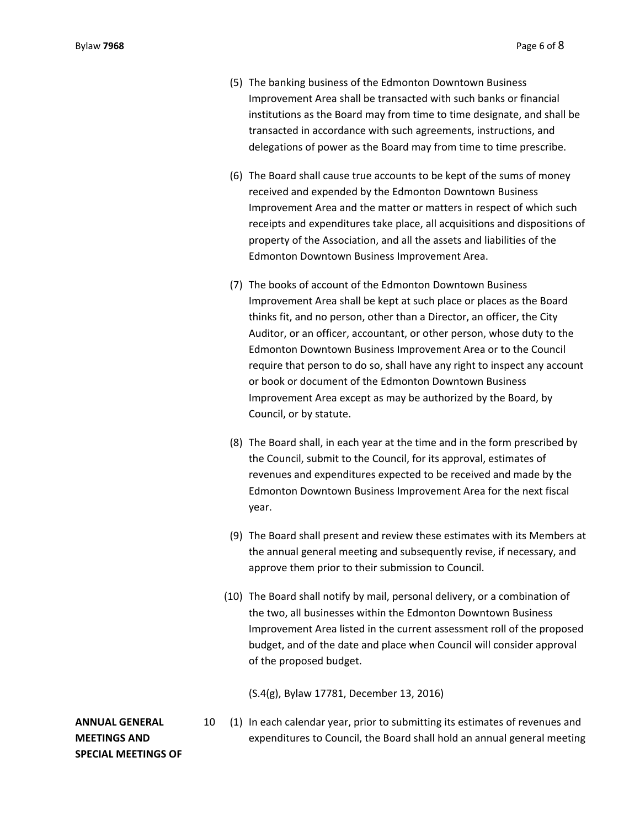- (5) The banking business of the Edmonton Downtown Business Improvement Area shall be transacted with such banks or financial institutions as the Board may from time to time designate, and shall be transacted in accordance with such agreements, instructions, and delegations of power as the Board may from time to time prescribe.
- (6) The Board shall cause true accounts to be kept of the sums of money received and expended by the Edmonton Downtown Business Improvement Area and the matter or matters in respect of which such receipts and expenditures take place, all acquisitions and dispositions of property of the Association, and all the assets and liabilities of the Edmonton Downtown Business Improvement Area.
- (7) The books of account of the Edmonton Downtown Business Improvement Area shall be kept at such place or places as the Board thinks fit, and no person, other than a Director, an officer, the City Auditor, or an officer, accountant, or other person, whose duty to the Edmonton Downtown Business Improvement Area or to the Council require that person to do so, shall have any right to inspect any account or book or document of the Edmonton Downtown Business Improvement Area except as may be authorized by the Board, by Council, or by statute.
- (8) The Board shall, in each year at the time and in the form prescribed by the Council, submit to the Council, for its approval, estimates of revenues and expenditures expected to be received and made by the Edmonton Downtown Business Improvement Area for the next fiscal year.
- (9) The Board shall present and review these estimates with its Members at the annual general meeting and subsequently revise, if necessary, and approve them prior to their submission to Council.
- (10) The Board shall notify by mail, personal delivery, or a combination of the two, all businesses within the Edmonton Downtown Business Improvement Area listed in the current assessment roll of the proposed budget, and of the date and place when Council will consider approval of the proposed budget.

(S.4(g), Bylaw 17781, December 13, 2016)

# **ANNUAL GENERAL MEETINGS AND SPECIAL MEETINGS OF**

10 (1) In each calendar year, prior to submitting its estimates of revenues and expenditures to Council, the Board shall hold an annual general meeting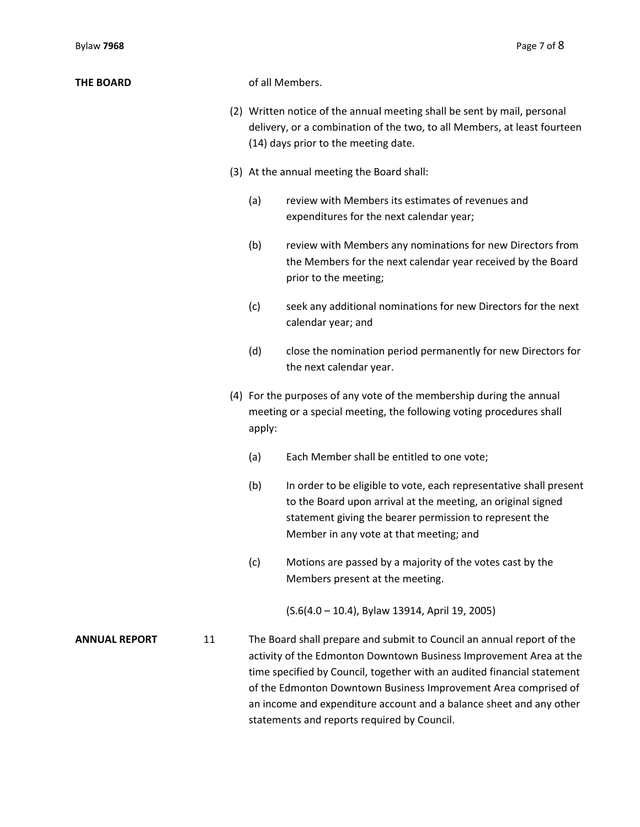| <b>THE BOARD</b>     |    | of all Members.                                                                                                                                                                                                                                                                                                                                                                                                 |  |
|----------------------|----|-----------------------------------------------------------------------------------------------------------------------------------------------------------------------------------------------------------------------------------------------------------------------------------------------------------------------------------------------------------------------------------------------------------------|--|
|                      |    | (2) Written notice of the annual meeting shall be sent by mail, personal<br>delivery, or a combination of the two, to all Members, at least fourteen<br>(14) days prior to the meeting date.                                                                                                                                                                                                                    |  |
|                      |    | (3) At the annual meeting the Board shall:                                                                                                                                                                                                                                                                                                                                                                      |  |
|                      |    | review with Members its estimates of revenues and<br>(a)<br>expenditures for the next calendar year;                                                                                                                                                                                                                                                                                                            |  |
|                      |    | (b)<br>review with Members any nominations for new Directors from<br>the Members for the next calendar year received by the Board<br>prior to the meeting;                                                                                                                                                                                                                                                      |  |
|                      |    | (c)<br>seek any additional nominations for new Directors for the next<br>calendar year; and                                                                                                                                                                                                                                                                                                                     |  |
|                      |    | (d)<br>close the nomination period permanently for new Directors for<br>the next calendar year.                                                                                                                                                                                                                                                                                                                 |  |
|                      |    | (4) For the purposes of any vote of the membership during the annual<br>meeting or a special meeting, the following voting procedures shall<br>apply:                                                                                                                                                                                                                                                           |  |
|                      |    | Each Member shall be entitled to one vote;<br>(a)                                                                                                                                                                                                                                                                                                                                                               |  |
|                      |    | (b)<br>In order to be eligible to vote, each representative shall present<br>to the Board upon arrival at the meeting, an original signed<br>statement giving the bearer permission to represent the<br>Member in any vote at that meeting; and                                                                                                                                                                 |  |
|                      |    | (c)<br>Motions are passed by a majority of the votes cast by the<br>Members present at the meeting.                                                                                                                                                                                                                                                                                                             |  |
|                      |    | (S.6(4.0 - 10.4), Bylaw 13914, April 19, 2005)                                                                                                                                                                                                                                                                                                                                                                  |  |
| <b>ANNUAL REPORT</b> | 11 | The Board shall prepare and submit to Council an annual report of the<br>activity of the Edmonton Downtown Business Improvement Area at the<br>time specified by Council, together with an audited financial statement<br>of the Edmonton Downtown Business Improvement Area comprised of<br>an income and expenditure account and a balance sheet and any other<br>statements and reports required by Council. |  |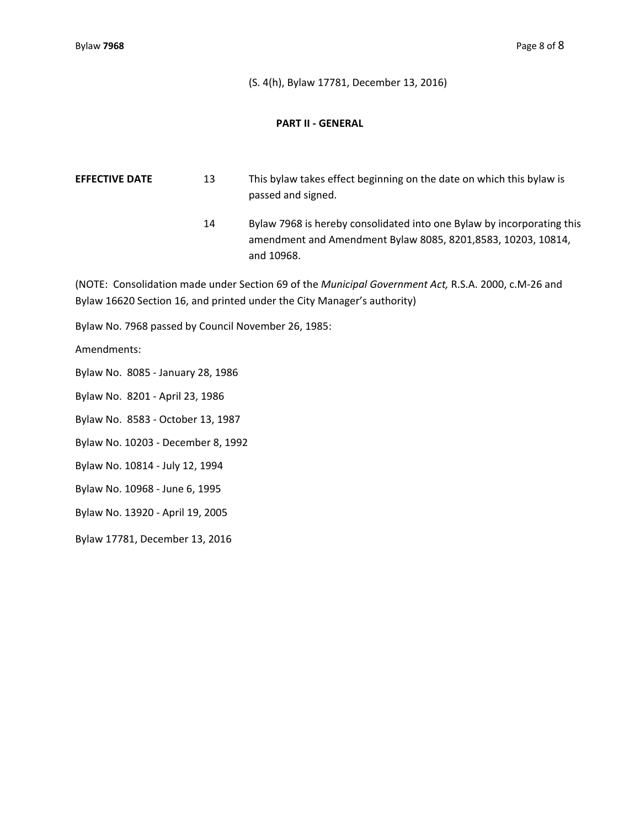(S. 4(h), Bylaw 17781, December 13, 2016)

### **PART II ‐ GENERAL**

**EFFECTIVE DATE** 13 This bylaw takes effect beginning on the date on which this bylaw is passed and signed.

> 14 Bylaw 7968 is hereby consolidated into one Bylaw by incorporating this amendment and Amendment Bylaw 8085, 8201,8583, 10203, 10814, and 10968.

(NOTE: Consolidation made under Section 69 of the *Municipal Government Act,* R.S.A. 2000, c.M‐26 and Bylaw 16620 Section 16, and printed under the City Manager's authority)

Bylaw No. 7968 passed by Council November 26, 1985:

Amendments:

Bylaw No. 8085 ‐ January 28, 1986

Bylaw No. 8201 ‐ April 23, 1986

Bylaw No. 8583 ‐ October 13, 1987

Bylaw No. 10203 ‐ December 8, 1992

Bylaw No. 10814 ‐ July 12, 1994

Bylaw No. 10968 ‐ June 6, 1995

Bylaw No. 13920 ‐ April 19, 2005

Bylaw 17781, December 13, 2016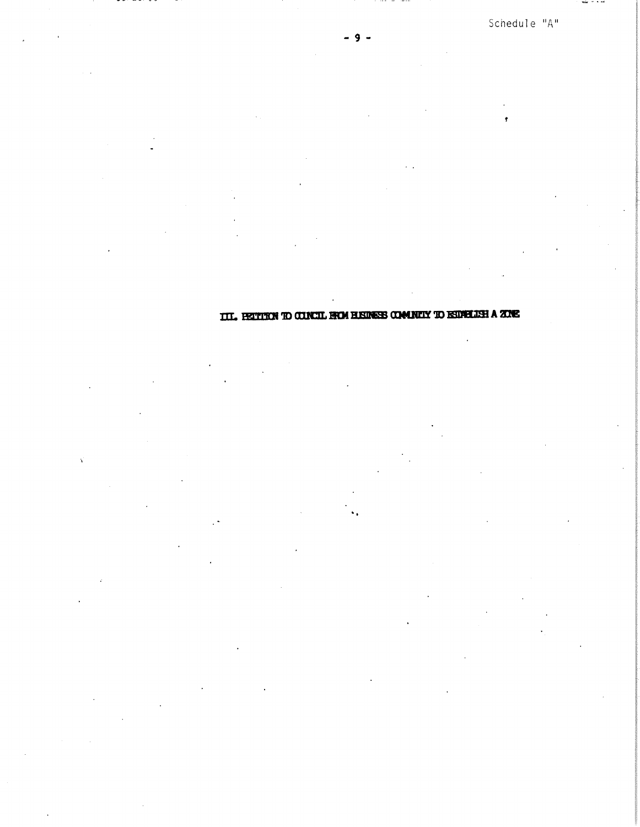Schedule "A"

 $max - 1.14$ 

9

TIL BETTIEN TO CONCIL FROM HISINESS COMMUNY TO ISDNELLSH A ZONE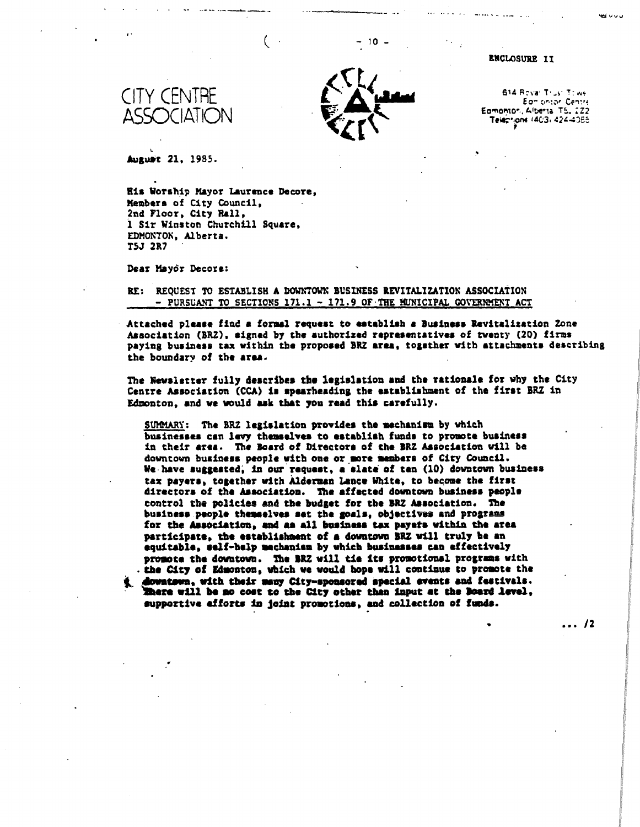

10 -

#### **ENCLOSURE IT**

**614 F.^va T: oit•**  *Eo-* **orior**  Eamonton, Albertal TS. 222 Teleprione 14C3, 424-40E5

 $\cdots$  /2

**August 21, 1985.** 

<,Ct CITY CENTRE I\_ **Aulikid**  ASSOCIAT

**His Worship Mayor Laurence Decor., Members of City Council, 2nd Floor, City Hall, i Sir Winston Churchill Square, EDMONTON, Alberta. T5J 2R7** 

Dear Mayor Decore:

#### **RE: REQUEST TO ESTABLISH A DOWNTOWN BUSINESS REVITALIZATION ASSOCIATION - PURSUANT TO SECTIONS 171.1 - 171.9 OF.THE MUNICIPAL GOVERMENT ACT**

**Attached please find a formal request to establish a Business Revitalization Zone Association (BRZ), signed by the authorized representatives of twenty (20) firms paying business tax within the proposed BRZ area, together with attachments describing the boundary of the area.** 

**The Newsletter fully describes the legislation and the rationale for why the City Centre Association (CCA) is spearheading the establishment of the first BRZ in Edmonton, and we would ask that you read this carefully.** 

**SUMMARY: The BRZ legislation provides the mechanism by which businesses can levy themselves to establish funds to promote business in their area. The Board of Directors of the ERZ Association will be downtown business people with one or more members of City Council. We.have suggested; in our request, a slate of ten (10) downtown business tax payers, together with Alderman Lance White, to become the first directors of the Association. The affected downtown business people control the policies and the budget for the BRZ Association. The business people themselves set the goals, objectives and programs**  for the Association, and as all business tax payets within the area **participate, the establishment of a downtown ERZ will truly be an equitable, self-help mechanism by which businesses can effectively promote the downtown. The ERZ will tie its promotional programs with .the City of Edmonton, which we would hope will continue to promote the ihmestmen, with their many City-sponsored special events and festivals. lhere will be no cost to the City other than input at the Board level, supportive efforts in joint promotions, and collection of funds.**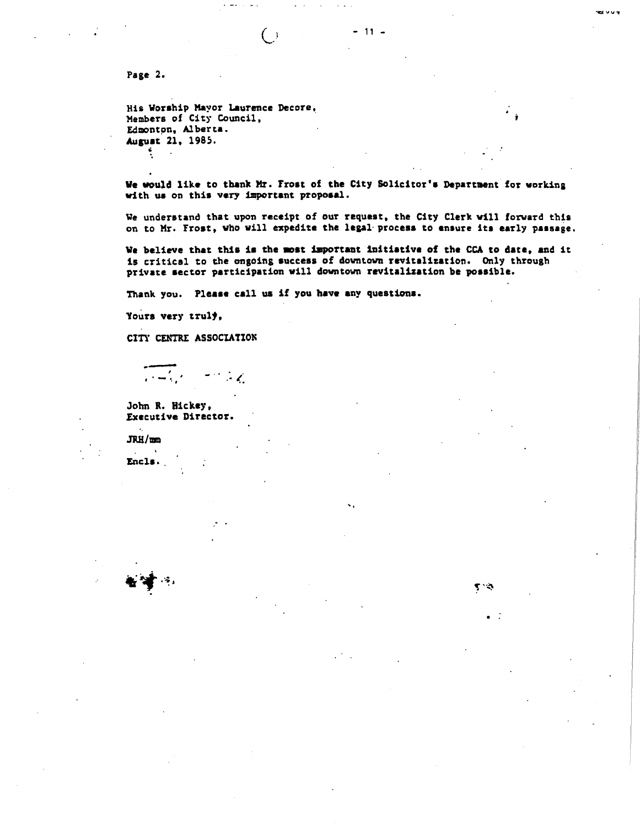**Page 2.** 

**His Worship Mayor Laurence Decore, Members of City Council, Edmonton, Alberta. August 21, 1985.** 

**We would like to thank lr. Trost of the City Solicitor's Department for working with us on this very important proposal.** 

 $-11 -$ 

**`ILI VV.!** 

**We understand that upon receipt of our request, the City Clerk will forward this on to Mr. Frost, who will expedite the legal processto ensure its early passage.** 

**We believe that this is the most important initiative of the CCA to date, and it is critical to the ongoing success of downtown revitalization. Only through private sector participation will downtown revitalization be possible.** 

**Thank you. Please call us if you have any questions.** 

 $\left( \begin{array}{c} \cdot \end{array} \right)$ 

 $\mathcal{H}$  in the contract of the contract of the contract of the contract of the contract of the contract of the contract of the contract of the contract of the contract of the contract of the contract of the contract of t

**Tours very truly,** 

**CITY CENTRE ASSOCIATION** 

 $\frac{1}{2} \left( \frac{1}{2} \right)^2 \left( \frac{1}{2} \right)^2$ 

**John R. Rickey, Executive Director.** 

**JRH/mm** 

**Encls.,**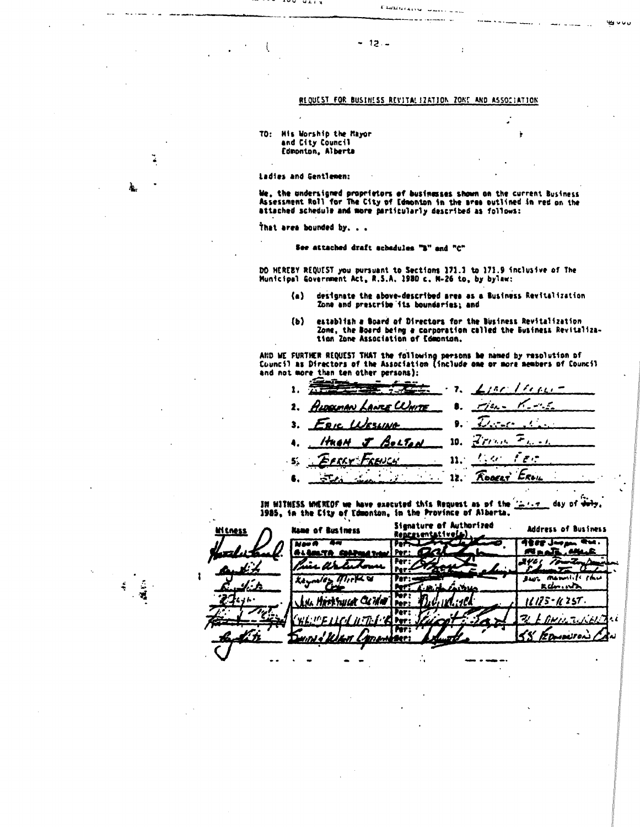## REQUEST FOR BUSINESS REVITALIZATION ZONE AND ASSOCIATION

Chaincens suns

 $-12.$ 

#### TO: His Worship the Mayor and City Council Edmonton, Alberta

Ladies and Gentlemen:

...

. . . . .

We, the undersigned proprietors of businesses shown on the current Business<br>Assessment Roll for The City of Edmonton in the area outlined in red on the<br>attached schedule and more particularly described as follows:

That area bounded by. . .

 $\mathbf{A}$ 

#### See attached draft schedules "B" and "C"

DO HEREBY REQUEST you pursuant to Sections 171.1 to 171.9 inclusive of The<br>Municipal Government Act, R.S.A. 1980 c. M-26 to, by bylaw:

- designate the above-described area as a Business Revitalization  $\langle \cdot \rangle$ Zone and prescribe its boundaries; and
- establish a Board of Directors for the Business Revitalization<br>Zone, the Board being a corporation called the Business Revitaliza-<br>tion Zone Association of Edmonton.  $(b)$

AND WE FURTHER REQUEST THAT the following persons be named by resolution of<br>Council as Directors of the Association (include one or more members of Council and not more than ten other persons):

تست  $\mathbf{z}$ /// ı. an<del>ie</del> Wm<u>ite</u>  $\mathbf{2}$ 3. ۰  $\tau$ 10.  $7\,$ i bu d Bolton  $\ell,\alpha$ م ہو  $11.$ FRENCH Eron RODERT ÷۳, 12.

IN WITHESS WHEREOF we have executed this Request as of the "  $\mathbf{1}$ \_ day of <del>duly</del> 1985, in the City of Edmonton, in the Province of Alberta.

Signature of Authorized Address of Business **Name of Business** Representative(s) **AEEE Jurpen**  $\overline{\bullet\bullet\bullet}$  . Neo A  $\overline{\phantom{a}}$ Þв **MAAR HA** .e Per: 24eç *To* Per: 2 . Ur Per: × das manulili shu かんの Ke. Ter:  $kdm \cdot$ **Part** Ter:<br>Per: Hirthuse Culle  $11125 - 1257.$ Per ٠i لەم زىمد lz pr w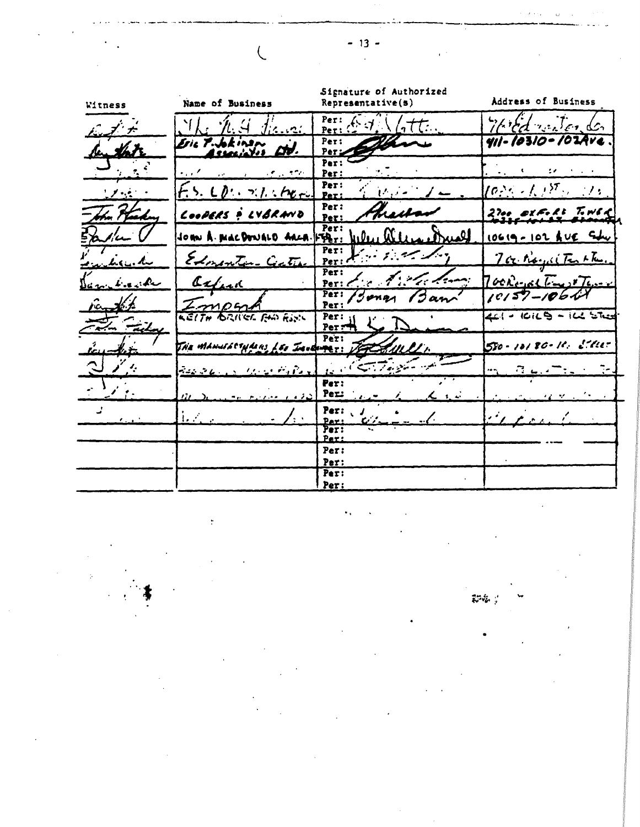| Witness                         | Name of Business                                                                                                                   | Signature of Authorized<br>Representative(s)                                                              | Address of Business                                                                                                                              |
|---------------------------------|------------------------------------------------------------------------------------------------------------------------------------|-----------------------------------------------------------------------------------------------------------|--------------------------------------------------------------------------------------------------------------------------------------------------|
| んメナ                             | $\mathcal{H}_i$ $\mathcal{H}_i$ $\mathcal{H}_j$ $\mathcal{H}_i$ $\mathcal{H}_i$                                                    | Per: $6.7$ $\sqrt{77}$ .                                                                                  | Third with der                                                                                                                                   |
|                                 | Esic Publican did.                                                                                                                 | <b>Per:</b>                                                                                               | 411-10310-102Ave                                                                                                                                 |
|                                 | and more in the case                                                                                                               | Per:<br>2 <u>. januar</u><br>Per:                                                                         | $\frac{1}{2}$ $\frac{1}{2}$ $\frac{1}{2}$ $\frac{1}{2}$ $\frac{1}{2}$ $\frac{1}{2}$<br>$\mathcal{L}(\mathbf{z}) = \mathcal{L}(\mathbf{z})$ , and |
| ピノ・ビー・                          | $F_1$ 5. $LP_2$ . $\gamma$ 1. $P_{CP_2}$                                                                                           | Per:<br>$\mathcal{V}$ , $\mathcal{V} = \mathcal{V}$<br>Per:                                               | $\{\phi_{i}^{N_{\rm{N}}}\cdot f_{\rm{N}}\}^{N_{\rm{N}}}\cdot 10^{-5}$                                                                            |
| the Heading                     | LOOPERS & LYBRAND                                                                                                                  | Per:<br>heisen<br>Per:                                                                                    | 2700 OXFORD TOWER                                                                                                                                |
| $\lambda$                       | JOHN A. MACDONALD ARCA.                                                                                                            | Per:<br>لعبيد<br>$\mathbf{u}_1 \mathbf{v}_1$ , $\mathbf{u}_2 \mathbf{v}_2$<br>$ \mathbf{F} \mathbf{A}_r $ | 10619-102 AVE Su                                                                                                                                 |
| <b>Lieu. Ku</b>                 | Edmonton Cathe                                                                                                                     | Per:<br>Peri de l'altres                                                                                  | nor Royal Testle.                                                                                                                                |
| Dance Lineache                  | axfirm                                                                                                                             | Per:<br>in the first former<br>Per:                                                                       | $700$ Resolt Final Tensor                                                                                                                        |
| rant to                         | $Z$ mp $m$                                                                                                                         | Per:<br>Ian<br>Per:                                                                                       | $10157 - 10611$                                                                                                                                  |
| $\overline{m}$ $\overline{m}$   | KEITH BRITCL FAN RING                                                                                                              | Per:<br>$Per =$                                                                                           | 4=1 - 10119 - 14 Ster                                                                                                                            |
| $k_{c11}$                       | THE MANUFACTURERS LES INVERSES: JET SAULLY                                                                                         | Per:                                                                                                      | 580-10180-10 5111                                                                                                                                |
| ્<br>یم کر                      | $\mathcal{L}_{\mathcal{L}}$ , $\mathcal{L}_{\mathcal{L}}$ , $\mathcal{L}_{\mathcal{L}}$ , $\mathcal{L}_{\mathcal{L}}$<br>$-3.5886$ | ن ساهي په <i>انتهائي کې</i> د بابل                                                                        | $\frac{1}{2}$ , $\frac{1}{2}$ , $\frac{1}{2}$ , $\frac{1}{2}$ , $\frac{1}{2}$ , $\frac{1}{2}$ , $\frac{1}{2}$                                    |
|                                 |                                                                                                                                    | Per:<br>Per:                                                                                              |                                                                                                                                                  |
| $\mathcal{F}$ and $\mathcal{F}$ | $\mathbf{L} \in \mathbb{R}^n$<br>∕. √                                                                                              | Per:<br>ن د په په په په در کردند <del>ه</del><br>Par:                                                     |                                                                                                                                                  |
|                                 |                                                                                                                                    | Per:<br><b>Per:</b>                                                                                       |                                                                                                                                                  |
|                                 |                                                                                                                                    | Per:                                                                                                      |                                                                                                                                                  |
|                                 |                                                                                                                                    | Per:<br>Per:                                                                                              |                                                                                                                                                  |
|                                 |                                                                                                                                    | Per:                                                                                                      |                                                                                                                                                  |

 $-13-$ 

 $\overline{\mathcal{L}}$ 

pa :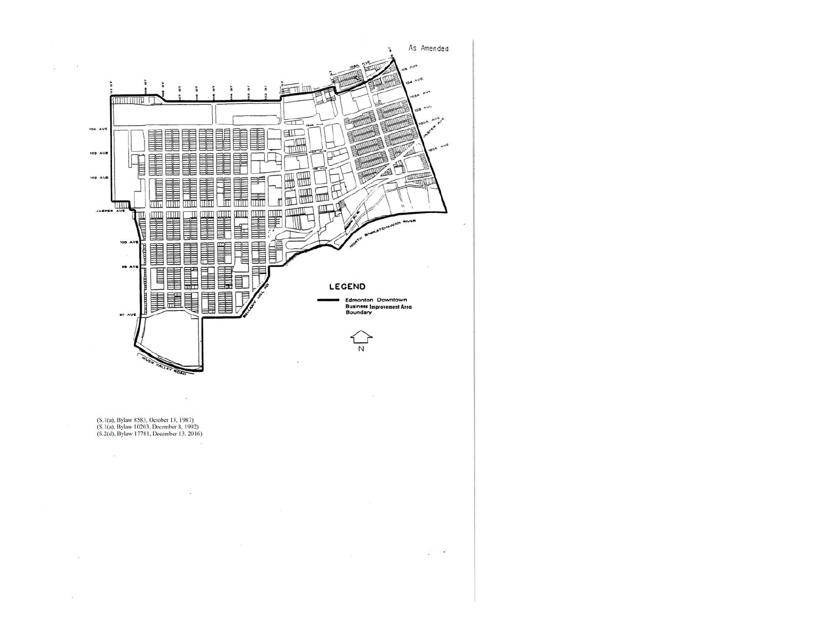

 $\mathcal{L}^{\prime}$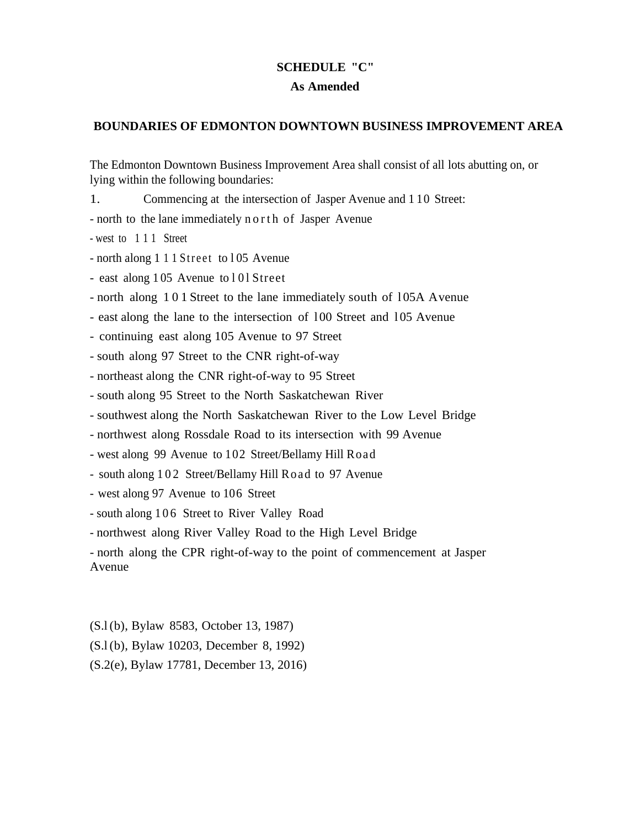# **SCHEDULE "C"**

# **As Amended**

## **BOUNDARIES OF EDMONTON DOWNTOWN BUSINESS IMPROVEMENT AREA**

The Edmonton Downtown Business Improvement Area shall consist of all lots abutting on, or lying within the following boundaries:

- 1. Commencing at the intersection of Jasper Avenue and 1 10 Street:
- north to the lane immediately n o r th of Jasper Avenue
- west to 1 1 1 Street
- north along 1 1 1 Street to 105 Avenue
- east along  $105$  Avenue to  $101$  Street
- north along 101 Street to the lane immediately south of 105A Avenue
- east along the lane to the intersection of 100 Street and 105 Avenue
- continuing east along 105 Avenue to 97 Street
- south along 97 Street to the CNR right-of-way
- northeast along the CNR right-of-way to 95 Street
- south along 95 Street to the North Saskatchewan River
- southwest along the North Saskatchewan River to the Low Level Bridge
- northwest along Rossdale Road to its intersection with 99 Avenue
- west along 99 Avenue to 102 Street/Bellamy Hill Road
- south along 102 Street/Bellamy Hill Road to 97 Avenue
- west along 97 Avenue to 106 Street
- south along 106 Street to River Valley Road
- northwest along River Valley Road to the High Level Bridge
- north along the CPR right-of-way to the point of commencement at Jasper Avenue

(S.l (b), Bylaw 8583, October 13, 1987) (S.l (b), Bylaw 10203, December 8, 1992) (S.2(e), Bylaw 17781, December 13, 2016)